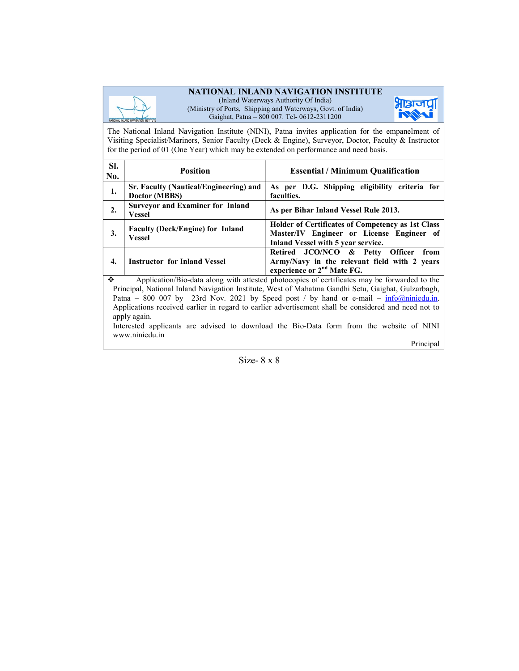#### NATIONAL INLAND NAVIGATION INSTITUTE



(Inland Waterways Authority Of India) (Ministry of Ports, Shipping and Waterways, Govt. of India) Gaighat, Patna – 800 007. Tel- 0612-2311200



The National Inland Navigation Institute (NINI), Patna invites application for the empanelment of Visiting Specialist/Mariners, Senior Faculty (Deck & Engine), Surveyor, Doctor, Faculty & Instructor for the period of 01 (One Year) which may be extended on performance and need basis.

| SI.<br>No.       | <b>Position</b>                                          | <b>Essential / Minimum Qualification</b>                                                                                                    |  |  |  |  |
|------------------|----------------------------------------------------------|---------------------------------------------------------------------------------------------------------------------------------------------|--|--|--|--|
| 1.               | Sr. Faculty (Nautical/Engineering) and<br>Doctor (MBBS)  | As per D.G. Shipping eligibility criteria for<br>faculties.                                                                                 |  |  |  |  |
| $\overline{2}$ . | <b>Surveyor and Examiner for Inland</b><br><b>Vessel</b> | As per Bihar Inland Vessel Rule 2013.                                                                                                       |  |  |  |  |
| 3.               | <b>Faculty (Deck/Engine) for Inland</b><br><b>Vessel</b> | <b>Holder of Certificates of Competency as 1st Class</b><br>Master/IV Engineer or License Engineer of<br>Inland Vessel with 5 year service. |  |  |  |  |
| 4.               | <b>Instructor for Inland Vessel</b>                      | Retired JCO/NCO & Petty Officer<br>from<br>Army/Navy in the relevant field with 2 years<br>experience or 2 <sup>nd</sup> Mate FG.           |  |  |  |  |

 Application/Bio-data along with attested photocopies of certificates may be forwarded to the Principal, National Inland Navigation Institute, West of Mahatma Gandhi Setu, Gaighat, Gulzarbagh, Patna – 800 007 by 23rd Nov. 2021 by Speed post / by hand or e-mail –  $\frac{info(Qniniedu.in.)}{info(Qniniedu.in.)}$ Applications received earlier in regard to earlier advertisement shall be considered and need not to apply again.

Interested applicants are advised to download the Bio-Data form from the website of NINI www.niniedu.in

Principal

Size- 8 x 8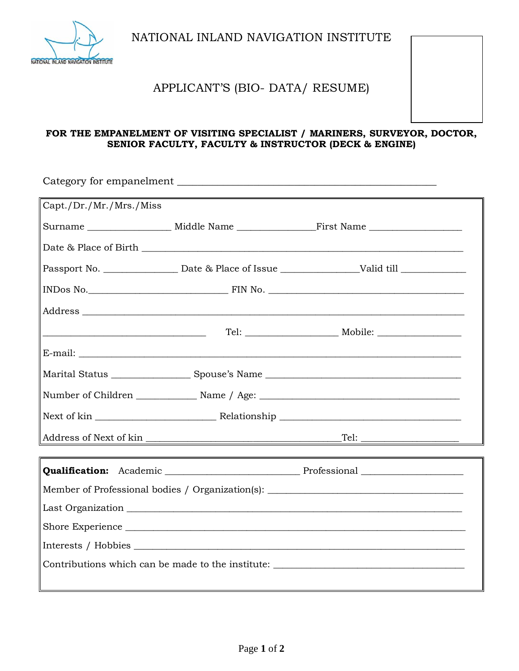

NATIONAL INLAND NAVIGATION INSTITUTE

# APPLICANT'S (BIO- DATA/ RESUME)

### **FOR THE EMPANELMENT OF VISITING SPECIALIST / MARINERS, SURVEYOR, DOCTOR, SENIOR FACULTY, FACULTY & INSTRUCTOR (DECK & ENGINE)**

| Capt./Dr./Mr./Mrs./Miss                                                           |  |                                                                                                     |  |  |  |
|-----------------------------------------------------------------------------------|--|-----------------------------------------------------------------------------------------------------|--|--|--|
|                                                                                   |  |                                                                                                     |  |  |  |
|                                                                                   |  |                                                                                                     |  |  |  |
|                                                                                   |  | Passport No. _________________ Date & Place of Issue ____________________Valid till _______________ |  |  |  |
|                                                                                   |  |                                                                                                     |  |  |  |
|                                                                                   |  |                                                                                                     |  |  |  |
|                                                                                   |  |                                                                                                     |  |  |  |
|                                                                                   |  |                                                                                                     |  |  |  |
|                                                                                   |  |                                                                                                     |  |  |  |
|                                                                                   |  | Number of Children ___________________ Name / Age: ______________________________                   |  |  |  |
|                                                                                   |  |                                                                                                     |  |  |  |
|                                                                                   |  |                                                                                                     |  |  |  |
|                                                                                   |  |                                                                                                     |  |  |  |
| Member of Professional bodies / Organization(s): ________________________________ |  |                                                                                                     |  |  |  |
|                                                                                   |  |                                                                                                     |  |  |  |
| Shore Experience                                                                  |  |                                                                                                     |  |  |  |
|                                                                                   |  |                                                                                                     |  |  |  |
| Contributions which can be made to the institute: ______________________________  |  |                                                                                                     |  |  |  |
|                                                                                   |  |                                                                                                     |  |  |  |